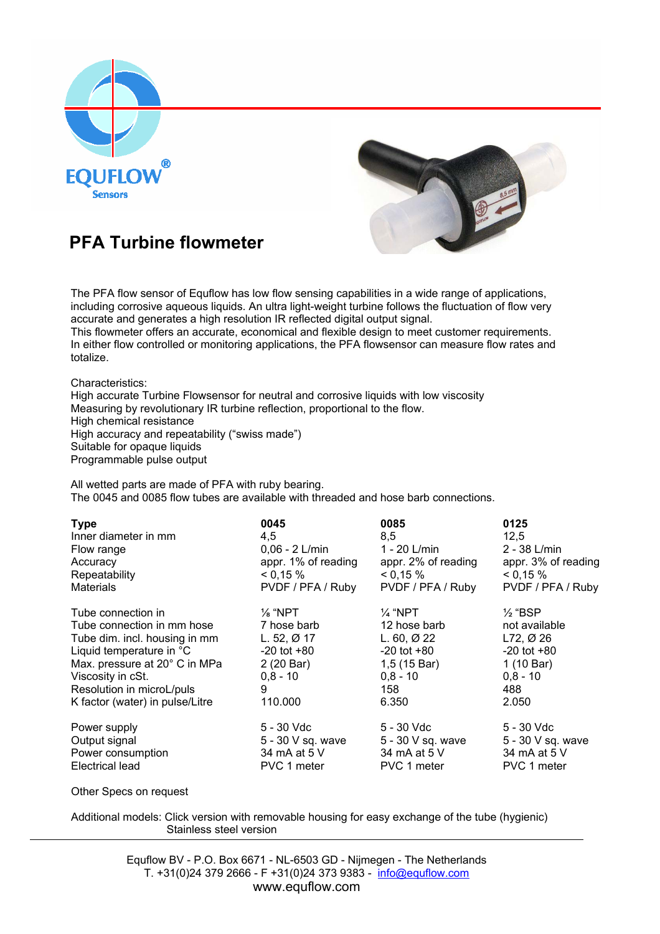



## **PFA Turbine flowmeter**

The PFA flow sensor of Equflow has low flow sensing capabilities in a wide range of applications, including corrosive aqueous liquids. An ultra light-weight turbine follows the fluctuation of flow very accurate and generates a high resolution IR reflected digital output signal.

This flowmeter offers an accurate, economical and flexible design to meet customer requirements. In either flow controlled or monitoring applications, the PFA flowsensor can measure flow rates and totalize.

Characteristics:

High accurate Turbine Flowsensor for neutral and corrosive liquids with low viscosity Measuring by revolutionary IR turbine reflection, proportional to the flow. High chemical resistance High accuracy and repeatability ("swiss made") Suitable for opaque liquids Programmable pulse output

 All wetted parts are made of PFA with ruby bearing. The 0045 and 0085 flow tubes are available with threaded and hose barb connections.

| <b>Type</b>                     | 0045                | 0085                  | 0125                  |
|---------------------------------|---------------------|-----------------------|-----------------------|
| Inner diameter in mm            | 4,5                 | 8,5                   | 12,5                  |
| Flow range                      | $0,06 - 2$ L/min    | 1 - 20 L/min          | $2 - 38$ L/min        |
| Accuracy                        | appr. 1% of reading | appr. 2% of reading   | appr. 3% of reading   |
| Repeatability                   | 0,15%               | 0,15%                 | 0,15%                 |
| <b>Materials</b>                | PVDF / PFA / Ruby   | PVDF / PFA / Ruby     | PVDF / PFA / Ruby     |
| Tube connection in              | $\frac{1}{8}$ "NPT  | 1⁄4 "NPT              | $\frac{1}{2}$ "BSP    |
| Tube connection in mm hose      | 7 hose barb         | 12 hose barb          | not available         |
| Tube dim. incl. housing in mm   | L. 52, $Ø$ 17       | L. $60, \emptyset$ 22 | L72, $\varnothing$ 26 |
| Liquid temperature in °C        | $-20$ tot $+80$     | $-20$ tot $+80$       | $-20$ tot $+80$       |
| Max. pressure at 20° C in MPa   | 2 (20 Bar)          | 1,5 (15 Bar)          | 1 (10 Bar)            |
| Viscosity in cSt.               | $0.8 - 10$          | $0,8 - 10$            | $0.8 - 10$            |
| Resolution in microL/puls       | 9                   | 158                   | 488                   |
| K factor (water) in pulse/Litre | 110.000             | 6.350                 | 2.050                 |
| Power supply                    | 5 - 30 Vdc          | 5 - 30 Vdc            | 5 - 30 Vdc            |
| Output signal                   | 5 - 30 V sq. wave   | 5 - 30 V sq. wave     | 5 - 30 V sq. wave     |
| Power consumption               | 34 mA at 5 V        | 34 mA at 5 V          | 34 mA at 5 V          |
| Electrical lead                 | PVC 1 meter         | PVC 1 meter           | PVC 1 meter           |

Other Specs on request

Additional models: Click version with removable housing for easy exchange of the tube (hygienic) Stainless steel version

> Equflow BV - P.O. Box 6671 - NL-6503 GD - Nijmegen - The Netherlands T. +31(0)24 379 2666 - F +31(0)24 373 9383 -  $info@equflow.com$ www.equflow.com